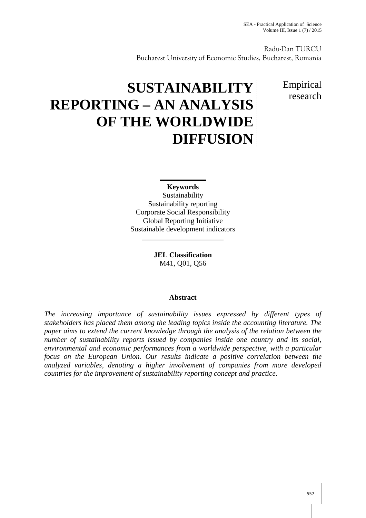Radu-Dan TURCU Bucharest University of Economic Studies, Bucharest, Romania

## Empirical research

# **SUSTAINABILITY REPORTING – AN ANALYSIS OF THE WORLDWIDE DIFFUSION**

**Keywords** Sustainability Sustainability reporting Corporate Social Responsibility Global Reporting Initiative Sustainable development indicators

> **JEL Classification** M41, Q01, Q56

### **Abstract**

*The increasing importance of sustainability issues expressed by different types of stakeholders has placed them among the leading topics inside the accounting literature. The paper aims to extend the current knowledge through the analysis of the relation between the number of sustainability reports issued by companies inside one country and its social, environmental and economic performances from a worldwide perspective, with a particular focus on the European Union. Our results indicate a positive correlation between the analyzed variables, denoting a higher involvement of companies from more developed countries for the improvement of sustainability reporting concept and practice.*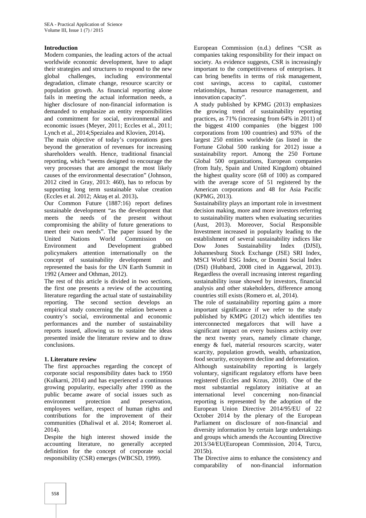#### **Introduction**

Modern companies, the leading actors of the actual worldwide economic development, have to adapt their strategies and structures to respond to the new global challenges, including environmental degradation, climate change, resource scarcity or population growth. As financial reporting alone fails in meeting the actual information needs, a higher disclosure of non-financial information is demanded to emphasize an entity responsibilities and commitment for social, environmental and economic issues (Meyer, 2011; Eccles et al., 2011; Lynch et al., 2014;Spezialea and Klovien, 2014)**.**

The main objective of today's corporations goes beyond the generation of revenues for increasing shareholders wealth. Hence, traditional financial reporting, which "seems designed to encourage the very processes that are amongst the most likely causes of the environmental desecration" (Johnson, 2012 cited in Gray, 2013: 460), has to refocus by supporting long term sustainable value creation (Eccles et al. 2012; Akta et al. 2013).

Our Common Future (1887:16) report defines sustainable development "as the development that meets the needs of the present without compromising the ability of future generations to meet their own needs". The paper issued by the United Nations World Commission on<br>Environment and Development grabbed and Development grabbed Dow policymakers attention internationally on the concept of sustainability development and represented the basis for the UN Earth Summit in 1992 (Ameer and Othman, 2012).

The rest of this article is divided in two sections, the first one presents a review of the accounting literature regarding the actual state of sustainability reporting. The second section develops an empirical study concerning the relation between a country's social, environmental and economic performances and the number of sustainability reports issued, allowing us to sustaine the ideas presented inside the literature review and to draw conclusions.

#### **1. Literature review**

The first approaches regarding the concept of corporate social responsibility dates back to 1950 (Kulkarni, 2014) and has experienced a continuous growing popularity, especially after 1990 as the public became aware of social issues such as environment protection and preservation, employees welfare, respect of human rights and contributions for the improvement of their communities (Dhaliwal et al. 2014; Romeroet al. 2014).

Despite the high interest showed inside the accounting literature, no generally accepted definition for the concept of corporate social responsibility (CSR) emerges (WBCSD, 1999).

European Commission (n.d.) defines "CSR as companies taking responsibility for their impact on society. As evidence suggests, CSR is increasingly important to the competitiveness of enterprises. It can bring benefits in terms of risk management, cost savings, access to capital, customer relationships, human resource management, and innovation capacity".

A study published by KPMG (2013) emphasizes the growing trend of sustainability reporting practices, as 71% (increasing from 64% in 2011) of the biggest 4100 companies (the biggest 100 corporations from 100 countries) and 93% of the largest 250 entities worldwide (as listed in the Fortune Global 500 ranking for 2012) issue a sustainability report. Among the 250 Fortune Global 500 organizations, European companies (from Italy, Spain and United Kingdom) obtained the highest quality score (68 of 100) as compared with the average score of 51 registered by the American corporations and 48 for Asia Pacific (KPMG, 2013).

Sustainability plays an important role in investment decision making, more and more investors referring to sustainability matters when evaluating securities (Aust, 2013). Moreover, Social Responsible Investment increased in popularity leading to the establishment of several sustainability indices like<br>Dow Jones Sustainability Index (DJSI). Sustainability Index (DJSI), Johannesburg Stock Exchange (JSE) SRI Index, MSCI World ESG Index, or Domini Social Index (DSI) (Hubbard, 2008 cited in Aggarwal, 2013). Regardless the overall increasing interest regarding sustainability issue showed by investors, financial analysis and other stakeholders, difference among countries still exists (Romero et. al, 2014).

The role of sustainability reporting gains a more important significance if we refer to the study published by KMPG (2012) which identifies ten interconnected megaforces that will have a significant impact on every business activity over the next twenty years, namely climate change, energy & fuel, material resources scarcity, water scarcity, population growth, wealth, urbanization, food security, ecosystem decline and deforestation. Although sustainability reporting is largely voluntary, significant regulatory efforts have been registered (Eccles and Krzus, 2010). One of the most substantial regulatory initiative at an international level concerning non-financial reporting is represented by the adoption of the European Union Directive 2014/95/EU of 22 October 2014 by the plenary of the European Parliament on disclosure of non-financial and diversity information by certain large undertakings and groups which amends the Accounting Directive 2013/34/EU(European Commission, 2014, Turcu, 2015b).

The Directive aims to enhance the consistency and comparability of non-financial information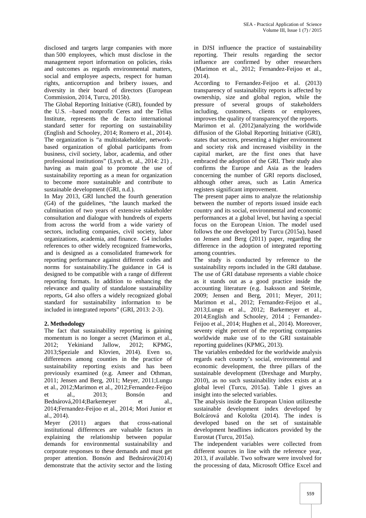disclosed and targets large companies with more than 500 employees, which must disclose in the management report information on policies, risks and outcomes as regards environmental matters, social and employee aspects, respect for human rights, anticorruption and bribery issues, and diversity in their board of directors (European Commission, 2014, Turcu, 2015b).

The Global Reporting Initiative (GRI), founded by the U.S. –based nonprofit Ceres and the Tellus Institute, represents the de facto international standard setter for reporting on sustainability (English and Schooley, 2014; Romero et al., 2014). The organization is "a multistakeholder, network based organization of global participants from business, civil society, labor, academia, and other professional institutions" (Lynch et. al., 2014: 21) , having as main goal to promote the use of sustainability reporting as a mean for organization to become more sustainable and contribute to sustainable development (GRI, n.d.).

In May 2013, GRI lunched the fourth generation (G4) of the guidelines, "the launch marked the culmination of two years of extensive stakeholder consultation and dialogue with hundreds of experts from across the world from a wide variety of sectors, including companies, civil society, labor organizations, academia, and finance. G4 includes references to other widely recognized frameworks, and is designed as a consolidated framework for reporting performance against different codes and norms for sustainability.The guidance in G4 is designed to be compatible with a range of different reporting formats. In addition to enhancing the relevance and quality of standalone sustainability reports, G4 also offers a widely recognized global standard for sustainability information to be included in integrated reports" (GRI, 2013: 2-3).

#### **2. Methodology**

The fact that sustainability reporting is gaining momentum is no longer a secret (Marimon et al., 2012; Yekiniand Jallow, 2012; KPMG, 2013;Speziale and Klovien, 2014). Even so, differences among counties in the practice of sustainability reporting exists and has been previously examined (e.g. Ameer and Othman, 2011; Jensen and Berg, 2011; Meyer, 2011;Lungu et al., 2012;Marimon et al., 2012;Fernandez-Feijoo et al., 2013; Bonsón and Bednárová,2014;Barkemeyer et al., 2014;Fernandez-Feijoo et al., 2014; Mori Junior et al., 2014).

Meyer (2011) argues that cross-national institutional differences are valuable factors in explaining the relationship between popular demands for environmental sustainability and corporate responses to these demands and must get proper attention. Bonsón and Bednárová(2014) demonstrate that the activity sector and the listing in DJSI influence the practice of sustainability reporting. Their results regarding the sector influence are confirmed by other researchers (Marimon et al., 2012; Fernandez-Feijoo et al., 2014).

According to Fernandez-Feijoo et al. (2013) transparency of sustainability reports is affected by ownership, size and global region, while the pressure of several groups of stakeholders including, customers, clients or employees, improves the quality of transparencyof the reports. Marimon et al. (2012)analyzing the worldwide diffusion of the Global Reporting Initiative (GRI), states that sectors, presenting a higher environment and society risk and increased visibility in the capital market, are the first ones that have embraced the adoption of the GRI. Their study also confirms the Europe and Asia as the leaders concerning the number of GRI reports disclosed, although other areas, such as Latin America registers significant improvement.

The present paper aims to analyze the relationship between the number of reports issued inside each country and its social, environmental and economic performances at a global level, but having a special focus on the European Union. The model used follows the one developed by Turcu (2015a), based on Jensen and Berg (2011) paper, regarding the difference in the adoption of integrated reporting among countries.

The study is conducted by reference to the sustainability reports included in the GRI database. The use of GRI database represents a viable choice as it stands out as a good practice inside the accounting literature (e.g. Isaksson and Steimle, 2009; Jensen and Berg, 2011; Meyer, 2011; Marimon et al., 2012; Fernandez-Feijoo et al., 2013;Lungu et al., 2012; Barkemeyer et al., 2014;English and Schooley, 2014 ; Fernandez- Feijoo et al., 2014; Hughen et al., 2014). Moreover, seventy eight percent of the reporting companies worldwide make use of to the GRI sustainable reporting guidelines (KPMG, 2013).

The variables embedded for the worldwide analysis regards each country's social, environmental and economic development, the three pillars of the sustainable development (Drexhage and Murphy, 2010), as no such sustainability index exists at a global level (Turcu, 2015a). Table 1 gives an insight into the selected variables.

The analysis inside the European Union utilizesthe sustainable development index developed by Bolcárová and Kološta (2014). The index is developed based on the set of sustainable development headlines indicators provided by the Eurostat (Turcu, 2015a).

The independent variables were collected from different sources in line with the reference year, 2013, if available. Two software were involved for the processing of data, Microsoft Office Excel and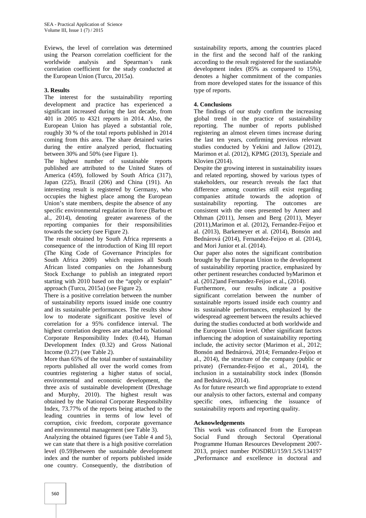Eviews, the level of correlation was determined using the Pearson correlation coefficient for the worldwide analysis and Spearman's rank correlation coefficient for the study conducted at the European Union (Turcu, 2015a).

#### **3. Results**

The interest for the sustainability reporting development and practice has experienced a significant increased during the last decade, from 401 in 2005 to 4321 reports in 2014. Also, the European Union has played a substantial role, roughly 30 % of the total reports published in 2014 coming from this area. The share detained varies during the entire analyzed period, fluctuating between 30% and 50% (see Figure 1).

The highest number of sustainable reports published are attributed to the United States of America (459), followed by South Africa (317), Japan (225), Brazil (206) and China (191). An interesting result is registered by Germany, who occupies the highest place among the European Union's state members, despite the absence of any specific environmental regulation in force (Barbu et al., 2014), denoting greater awareness of the reporting companies for their responsibilities towards the society (see Figure 2).

The result obtained by South Africa represents a consequence of the introduction of King III report (The King Code of Governance Principles for South Africa 2009) which requires all South African listed companies on the Johannesburg Stock Exchange to publish an integrated report starting with 2010 based on the "apply or explain" approach (Turcu, 2015a) (see Figure 2).

There is a positive correlation between the number of sustainability reports issued inside one country and its sustainable performances. The results show low to moderate significant positive level of correlation for a 95% confidence interval. The highest correlation degrees are attached to National Corporate Responsibility Index (0.44), Human Development Index (0.32) and Gross National Income (0.27) (see Table 2).

More than 65% of the total number of sustainability reports published all over the world comes from countries registering a higher status of social, environmental and economic development, the three axis of sustainable development (Drexhage and Murphy, 2010). The highest result was obtained by the National Corporate Responsibility Index, 73.77% of the reports being attached to the leading countries in terms of low level of corruption, civic freedom, corporate governance and environmental management (see Table 3).

Analyzing the obtained figures (see Table 4 and 5), we can state that there is a high positive correlation level (0.59)between the sustainable development index and the number of reports published inside one country. Consequently, the distribution of

sustainability reports, among the countries placed in the first and the second half of the ranking according to the result registered for the sustianable development index (85% as compared to 15%), denotes a higher commitment of the companies from more developed states for the issuance of this type of reports.

#### **4. Conclusions**

The findings of our study confirm the increasing global trend in the practice of sustainability reporting. The number of reports published registering an almost eleven times increase during the last ten years, confirming previous relevant studies conducted by Yekini and Jallow (2012), Marimon et al. (2012), KPMG (2013), Speziale and Klovien (2014).

Despite the growing interest in sustainability issues and related reporting, showed by various types of stakeholders, our research reveals the fact that difference among countries still exist regarding companies attitude towards the adoption of sustainability reporting. The outcomes are consistent with the ones presented by Ameer and Othman (2011), Jensen and Berg (2011), Meyer (2011),Marimon et al. (2012), Fernandez-Feijoo et al. (2013), Barkemeyer et al. (2014), Bonsón and Bednárová (2014), Fernandez-Feijoo et al. (2014), and Mori Junior et al. (2014).

Our paper also notes the significant contribution brought by the European Union to the development of sustainability reporting practice, emphasized by other pertinent researches conducted byMarimon et al. (2012)and Fernandez-Feijoo et al., (2014).

Furthermore, our results indicate a positive significant correlation between the number of sustainable reports issued inside each country and its sustainable performances, emphasized by the widespread agreement between the results achieved during the studies conducted at both worldwide and the European Union level. Other significant factors influencing the adoption of sustainability reporting include, the activity sector (Marimon et al., 2012; Bonsón and Bednárová, 2014; Fernandez-Feijoo et al., 2014), the structure of the company (public or private) (Fernandez-Feijoo et al., 2014), the inclusion in a sustainability stock index (Bonsón and Bednárová, 2014).

As for future research we find appropriate to extend our analysis to other factors, external and company specific ones, influencing the issuance of sustainability reports and reporting quality.

#### **Acknowledgements**

This work was cofinanced from the European Social Fund through Sectoral Operational Programme Human Resources Development 2007- 2013, project number POSDRU/159/1.5/S/134197 "Performance and excellence in doctoral and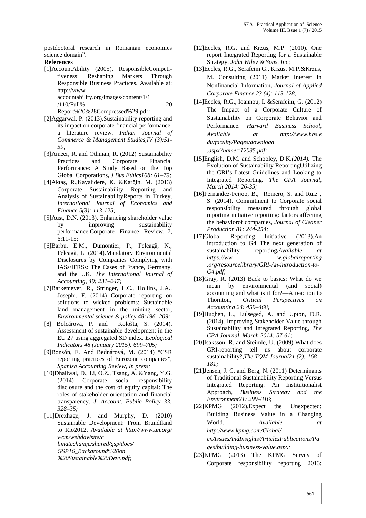postdoctoral research in Romanian economics science domain". **References**

[1]AccountAbility (2005). ResponsibleCompetitiveness: Reshaping Markets Through Responsible Business Practices. Available at: http://www. accountability.org/images/content/1/1

/110/Full% 20

Report%20%28Compressed%29.pdf*;*

- [2]Aggarwal, P. (2013)*.*Sustainability reporting and its impact on corporate financial performance: a literature review. *Indian Journal of Commerce & Management Studies,IV (3):51- 59;*
- [3]Ameer, R. and Othman, R. (2012) Sustainability Practices and Corporate Financial Performance: A Study Based on the Top Global Corporations, *J Bus Ethics108: 61–79;*
- [4]Akta, R.,Kayalidere, K. &Kar in, M. (2013) Corporate Sustainability Reporting and Analysis of SustainabilityReports in Turkey, *International Journal of Economics and Finance 5(3): 113-125;*
- [5]Aust, D.N. (2013). Enhancing shareholder value by improving sustainability performance.Corporate Finance Review,17, 6:11-15;
- $[6]$ Barbu, E.M., Dumontier, P., Feleag, N., Feleag, L. (2014).Mandatory Environmental Disclosures by Companies Complying with IASs/IFRSs: The Cases of France, Germany, and the UK. *The International Journal of Accounting, 49: 231–247;*
- [7]Barkemeyer, R., Stringer, L.C., Hollins, J.A., Josephi, F. (2014) Corporate reporting on solutions to wicked problems: Sustainable land management in the mining sector, *Environmental science & policy 48:196 -209;*
- [8] Bolcárová, P. and Kološta, S. (2014). Assessment of sustainable development in the EU 27 using aggregated SD index. *Ecological Indicators 48 (January 2015): 699–705;*
- [9]Bonsón, E. And Bednárová, M. (2014) "CSR reporting practices of Eurozone companies", *Spanish Accounting Review, In press;*
- [10]Dhaliwal, D., Li, O.Z., Tsang, A. &Yang, Y.G. (2014) Corporate social responsibility disclosure and the cost of equity capital: The roles of stakeholder orientation and financial transparency. *J. Account. Public Policy 33: 328–35;*
- [11]Drexhage, J. and Murphy, D. (2010) Sustainable Development: From Brundtland to Rio2012, *Available at http://www.un.org/ wcm/webdav/site/c limatechange/shared/gsp/docs/*
	- *GSP16\_Background%20on*
	- *%20Sustainable%20Devt.pdf;*
- [12]Eccles, R.G. and Krzus, M.P. (2010). One report Integrated Reporting for a Sustainable Strategy. *John Wiley & Sons, Inc*;
- [13]Eccles, R.G., Serafeim G., Krzus, M.P.&Krzus, M. Consulting (2011) Market Interest in Nonfinancial Information**,** *Journal of Applied Corporate Finance 23 (4): 113-128;*
- [14]Eccles, R.G., Ioannou, I. &Serafeim, G. (2012) The Impact of a Corporate Culture of Sustainability on Corporate Behavior and Performance. *Harvard Business School, Available at http://www.hbs.e du/faculty/Pages/download .aspx?name=12035.pdf;*
- [15]English, D.M. and Schooley, D.K.*(2014).* The Evolution of Sustainability ReportingUtilizing the GRI's Latest Guidelines and Looking to Integrated Reporting*. The CPA Journal, March 2014: 26-35;*
- [16]Fernandez-Feijoo, B., Romero, S. and Ruiz , S. (2014). Commitment to Corporate social responsibility measured through global reporting initiative reporting: factors affecting the behaviorof companies, *Journal of Cleaner Production 81: 244-254;*
- [17]Global Reporting Initiative (2013).An introduction to G4 The next generation of sustainability reporting**.***Available at https://ww w.globalreporting .org/resourcelibrary/GRI-An-introduction-to- G4.pdf;*
- [18]Gray, R. (2013) Back to basics: What do we mean by environmental (and social) accounting and what is it for?—A reaction to Thornton, *Critical Perspectives Accounting 24: 459–468;*
- [19]Hughen, L., Lulseged, A. and Upton, D.R. (2014). Improving Stakeholder Value through Sustainability and Integrated Reporting, *The CPA Journal, March 2014: 57-61;*
- [20]Isaksson, R. and Steimle, U. (2009) What does GRI-reporting tell us about corporate sustainability?,*The TQM Journal21 (2): 168 – 181;*
- [21]Jensen, J. C. and Berg, N. (2011) Determinants of Traditional Sustainability Reporting Versus Integrated Reporting. An Institutionalist Approach, *Business Strategy and the Environment21: 299–316*;
- [22]KPMG (2012).Expect the Unexpected: Building Business Value in a Changing World*. Available at http://www.kpmg.com/Global/ en/IssuesAndInsights/ArticlesPublications/Pa ges/building-business-value.aspx;*
- [23]KPMG (2013) The KPMG Survey of Corporate responsibility reporting 2013: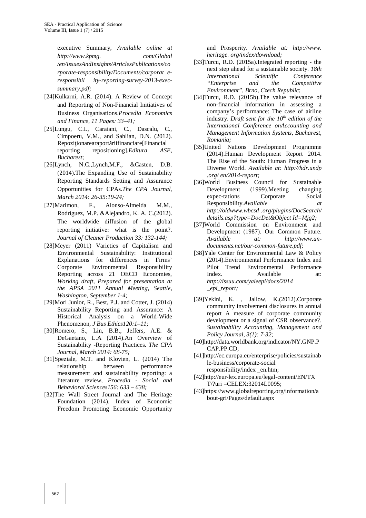executive Summary, *Available online at http://www.kpmg. com/Global /en/IssuesAndInsights/ArticlesPublications/co rporate-responsibility/Documents/corporat e responsibil ity-reporting-survey-2013-exec summary.pdf;*

- [24]Kulkarni, A.R. (2014). A Review of Concept and Reporting of Non-Financial Initiatives of Business Organisations.*Procedia Economics and Finance, 11 Pages: 33–41;*
- [25]Lungu, C.I., Caraiani, C., Dascalu, C., Cimpoeru, V.M., and Sahlian, D.N. (2012). Repozi ionarearaport riifinanciare[Financial reporting repositioning].*Editura ASE, Bucharest*;
- [26]Lynch, N.C.,Lynch,M.F., &Casten, D.B. (2014).The Expanding Use of Sustainability Reporting Standards Setting and Assurance Opportunities for CPAs.*The CPA Journal, March 2014: 26-35:19-24;*
- [27]Marimon, F., Alonso-Almeida M.M., Rodríguez, M.P. &Alejandro, K. A. C.(2012). The worldwide diffusion of the global reporting initiative: what is the point?. *Journal of Cleaner Production 33: 132-144;*
- [28]Meyer (2011) Varieties of Capitalism and Environmental Sustainability: Institutional Explanations for differences in Firms' Corporate Environmental Responsibility Reporting across 21 OECD Economies, *Working draft, Prepared for presentation at the APSA 2011 Annual Meeting, Seattle, Washington, September 1-4;*
- [29]Mori Junior, R., Best, P.J. and Cotter, J. (2014) Sustainability Reporting and Assurance: A Historical Analysis on a World-Wide Phenomenon, *J Bus Ethics120:1–11;*
- [30]Romero, S., Lin, B.B., Jeffers, A.E. & DeGaetano, L.A (2014).An Overview of Sustainability -Reporting Practices. *The CPA Journal, March 2014: 68-75;*
- [31]Speziale, M.T. and Klovien, L. (2014) The relationship between performance measurement and sustainability reporting: a literature review, *Procedia - Social and Behavioral Sciences156: 633 – 638;*
- [32]The Wall Street Journal and The Heritage Foundation (2014). Index of Economic Freedom Promoting Economic Opportunity

and Prosperity. *Available at: http://www. heritage. org/index/download;*

- [33]Turcu, R.D. (2015a).Integrated reporting the next step ahead for a sustainable society. *18th International Scientific Conference "Enterprise and the Competitive Environment", Brno, Czech Republic*;
- [34]Turcu, R.D. (2015b).The value relevance of non-financial information in assessing a company's performance: The case of airline industry. *Draft sent for the 10th edition of the International Conference onAccounting and Management Information Systems, Bucharest, Romania;*
- [35]United Nations Development Programme (2014).Human Development Report 2014. The Rise of the South: Human Progress in a Diverse World. *Available at: http://hdr.undp .org/ en/2014-report;*
- [36]World Business Council for Sustainable Development (1999).Meeting changing expec-tations Corporate Social Responsibility.*Available at http://oldwww.wbcsd .org/plugins/DocSearch/ details.asp?type=DocDet&Object Id=Mjg2;*
- [37]World Commission on Environment and Development (1987). Our Common Future. *Available at: http://www.un documents.net/our-common-future.pdf*;
- [38]Yale Center for Environmental Law & Policy (2014).Environmental Performance Index and Pilot Trend Environmental Performance Index. Available at: *http://issuu.com/yaleepi/docs/2014 \_epi\_report;*
- [39]Yekini, K. , Jallow, K.(2012).Corporate community involvement disclosures in annual report A measure of corporate community development or a signal of CSR observance?. *Sustainability Accounting, Management and Policy Journal, 3(1): 7-32;*
- [40]http://data.worldbank.org/indicator/NY.GNP.P CAP.PP.CD;
- [41]http://ec.europa.eu/enterprise/policies/sustainab le-business/corporate-social responsibility/index \_en.htm;
- [42]http://eur-lex.europa.eu/legal-content/EN/TX T/?uri =CELEX:32014L0095;
- [43]https://www.globalreporting.org/information/a bout-gri/Pages/default.aspx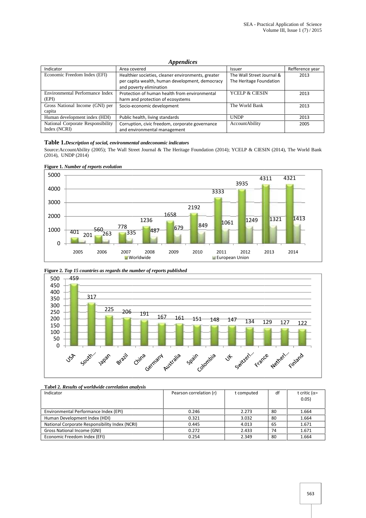#### *Appendices*

| Indicator                         | Area covered                                       | <b>Issuer</b>             | Refference year |
|-----------------------------------|----------------------------------------------------|---------------------------|-----------------|
| Economic Freedom Index (EFI)      | Healthier societies, cleaner environments, greater | The Wall Street Journal & | 2013            |
|                                   | per capita wealth, human development, democracy    | The Heritage Foundation   |                 |
|                                   | and poverty elimination                            |                           |                 |
| Environmental Performance Index   | Protection of human health from environmental      | <b>YCELP &amp; CIESIN</b> | 2013            |
| (EPI)                             | harm and protection of ecosystems                  |                           |                 |
| Gross National Income (GNI) per   | Socio-economic development                         | The World Bank            | 2013            |
| capita                            |                                                    |                           |                 |
| Human development index (HDI)     | Public health, living standards                    | <b>UNDP</b>               | 2013            |
| National Corporate Responsibility | Corruption, civic freedom, corporate governance    | AccountAbility            | 2005            |
| Index (NCRI)                      | and environmental management                       |                           |                 |

#### **Table 1.***Description of social, environmental andeconomic indicators*

Source:AccountAbility (2005); The Wall Street Journal & The Heritage Foundation (2014); YCELP & CIESIN (2014), The World Bank (2014), UNDP (2014)



**Figure 1.** *Number of reports evolution*

**Figure 2.** *Top 15 countries as regards the number of reports published*





| Indicator                                      | Pearson correlation (r) | t computed | df | t critic ( $\alpha$ =<br>0.05) |
|------------------------------------------------|-------------------------|------------|----|--------------------------------|
|                                                |                         |            |    |                                |
| Environmental Performance Index (EPI)          | 0.246                   | 2.273      | 80 | 1.664                          |
| Human Development Index (HDI)                  | 0.321                   | 3.032      | 80 | 1.664                          |
| National Corporate Responsibility Index (NCRI) | 0.445                   | 4.013      | 65 | 1.671                          |
| Gross National Income (GNI)                    | 0.272                   | 2.433      | 74 | 1.671                          |
| Economic Freedom Index (EFI)                   | 0.254                   | 2.349      | 80 | 1.664                          |